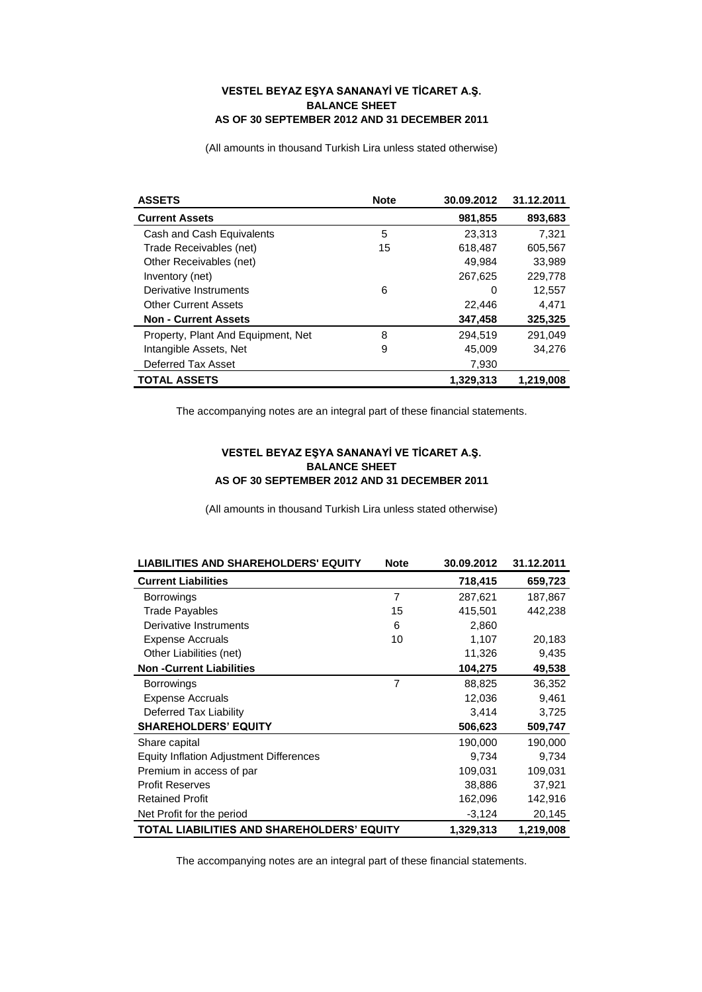## **VESTEL BEYAZ EŞYA SANANAYİ VE TİCARET A.Ş. BALANCE SHEET AS OF 30 SEPTEMBER 2012 AND 31 DECEMBER 2011**

(All amounts in thousand Turkish Lira unless stated otherwise)

| <b>ASSETS</b>                      | <b>Note</b> | 30.09.2012 | 31.12.2011 |
|------------------------------------|-------------|------------|------------|
| <b>Current Assets</b>              |             | 981,855    | 893,683    |
| Cash and Cash Equivalents          | 5           | 23.313     | 7.321      |
| Trade Receivables (net)            | 15          | 618.487    | 605.567    |
| Other Receivables (net)            |             | 49,984     | 33,989     |
| Inventory (net)                    |             | 267,625    | 229,778    |
| Derivative Instruments             | 6           | 0          | 12,557     |
| <b>Other Current Assets</b>        |             | 22,446     | 4,471      |
| <b>Non - Current Assets</b>        |             | 347,458    | 325,325    |
| Property, Plant And Equipment, Net | 8           | 294.519    | 291.049    |
| Intangible Assets, Net             | 9           | 45,009     | 34.276     |
| Deferred Tax Asset                 |             | 7,930      |            |
| <b>TOTAL ASSETS</b>                |             | 1,329,313  | 1,219,008  |

The accompanying notes are an integral part of these financial statements.

## **VESTEL BEYAZ EŞYA SANANAYİ VE TİCARET A.Ş. BALANCE SHEET AS OF 30 SEPTEMBER 2012 AND 31 DECEMBER 2011**

(All amounts in thousand Turkish Lira unless stated otherwise)

| <b>LIABILITIES AND SHAREHOLDERS' EQUITY</b>    | <b>Note</b>    | 30.09.2012 | 31.12.2011 |
|------------------------------------------------|----------------|------------|------------|
| <b>Current Liabilities</b>                     |                | 718,415    | 659,723    |
| <b>Borrowings</b>                              | $\overline{7}$ | 287,621    | 187,867    |
| <b>Trade Payables</b>                          | 15             | 415,501    | 442,238    |
| Derivative Instruments                         | 6              | 2,860      |            |
| <b>Expense Accruals</b>                        | 10             | 1,107      | 20,183     |
| Other Liabilities (net)                        |                | 11,326     | 9,435      |
| <b>Non-Current Liabilities</b>                 |                | 104,275    | 49,538     |
| <b>Borrowings</b>                              | 7              | 88,825     | 36,352     |
| <b>Expense Accruals</b>                        |                | 12,036     | 9,461      |
| Deferred Tax Liability                         |                | 3,414      | 3,725      |
| <b>SHAREHOLDERS' EQUITY</b>                    |                | 506,623    | 509,747    |
| Share capital                                  |                | 190,000    | 190,000    |
| <b>Equity Inflation Adjustment Differences</b> |                | 9,734      | 9,734      |
| Premium in access of par                       |                | 109,031    | 109,031    |
| <b>Profit Reserves</b>                         |                | 38,886     | 37,921     |
| <b>Retained Profit</b>                         |                | 162,096    | 142,916    |
| Net Profit for the period                      |                | $-3,124$   | 20,145     |
| TOTAL LIABILITIES AND SHAREHOLDERS' EQUITY     |                | 1,329,313  | 1,219,008  |

The accompanying notes are an integral part of these financial statements.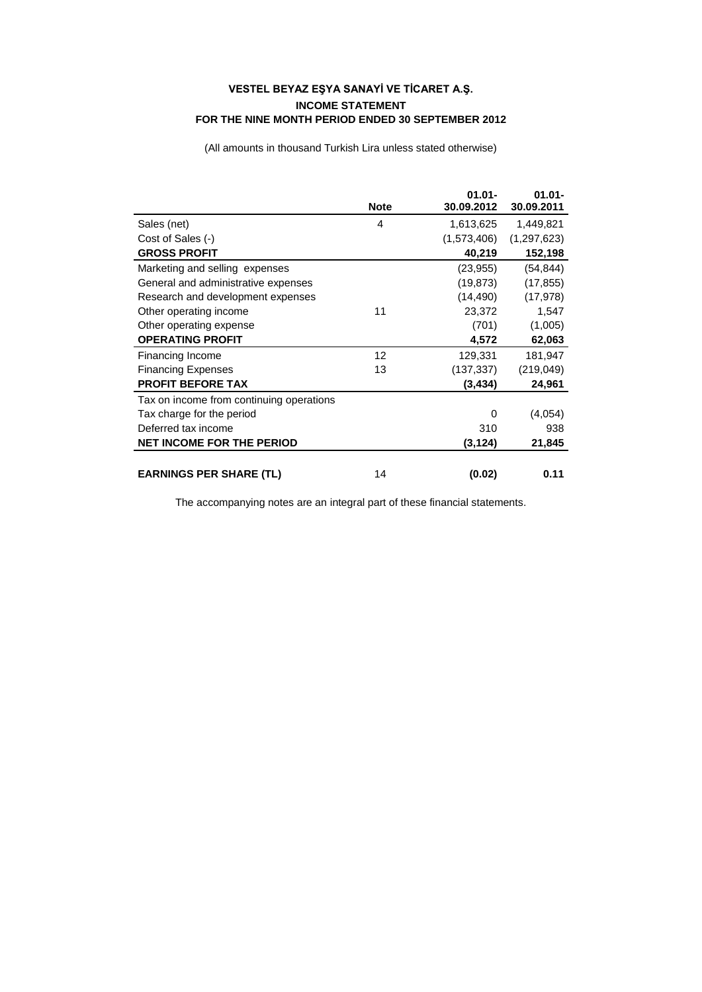## **VESTEL BEYAZ EŞYA SANAYİ VE TİCARET A.Ş. INCOME STATEMENT FOR THE NINE MONTH PERIOD ENDED 30 SEPTEMBER 2012**

(All amounts in thousand Turkish Lira unless stated otherwise)

|                                          | <b>Note</b> | $01.01 -$<br>30.09.2012 | $01.01 -$<br>30.09.2011 |
|------------------------------------------|-------------|-------------------------|-------------------------|
| Sales (net)                              | 4           | 1,613,625               | 1,449,821               |
| Cost of Sales (-)                        |             | (1,573,406)             | (1,297,623)             |
| <b>GROSS PROFIT</b>                      |             | 40,219                  | 152,198                 |
| Marketing and selling expenses           |             | (23, 955)               | (54, 844)               |
| General and administrative expenses      |             | (19, 873)               | (17, 855)               |
| Research and development expenses        |             | (14, 490)               | (17, 978)               |
| Other operating income                   | 11          | 23,372                  | 1,547                   |
| Other operating expense                  |             | (701)                   | (1,005)                 |
| <b>OPERATING PROFIT</b>                  |             | 4,572                   | 62,063                  |
| Financing Income                         | 12          | 129,331                 | 181,947                 |
| <b>Financing Expenses</b>                | 13          | (137, 337)              | (219,049)               |
| <b>PROFIT BEFORE TAX</b>                 |             | (3,434)                 | 24,961                  |
| Tax on income from continuing operations |             |                         |                         |
| Tax charge for the period                |             | 0                       | (4,054)                 |
| Deferred tax income                      |             | 310                     | 938                     |
| <b>NET INCOME FOR THE PERIOD</b>         |             | (3,124)                 | 21,845                  |
| <b>EARNINGS PER SHARE (TL)</b>           | 14          | (0.02)                  | 0.11                    |

The accompanying notes are an integral part of these financial statements.